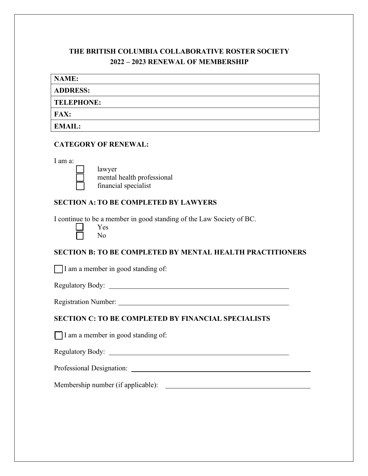# **THE BRITISH COLUMBIA COLLABORATIVE ROSTER SOCIETY 2022 – 2023 RENEWAL OF MEMBERSHIP**

| <b>NAME:</b>      |  |  |
|-------------------|--|--|
| <b>ADDRESS:</b>   |  |  |
| <b>TELEPHONE:</b> |  |  |
| <b>FAX:</b>       |  |  |
| <b>EMAIL:</b>     |  |  |

#### **CATEGORY OF RENEWAL:**

I am a:



lawyer mental health professional financial specialist

## **SECTION A: TO BE COMPLETED BY LAWYERS**

I continue to be a member in good standing of the Law Society of BC.

| Y<br>es |
|---------|
| Nο      |

# **SECTION B: TO BE COMPLETED BY MENTAL HEALTH PRACTITIONERS**

 $\Box$  I am a member in good standing of:

Regulatory Body:

Registration Number:

## **SECTION C: TO BE COMPLETED BY FINANCIAL SPECIALISTS**

 $\Box$  I am a member in good standing of:

Regulatory Body:

Professional Designation:

Membership number (if applicable):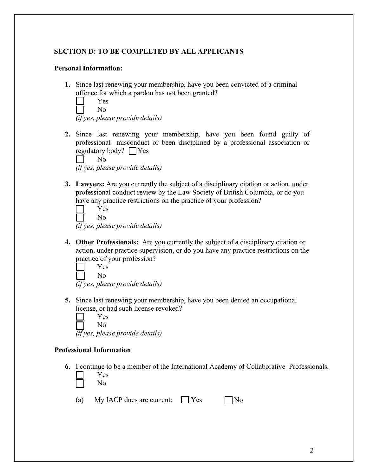## **SECTION D: TO BE COMPLETED BY ALL APPLICANTS**

#### **Personal Information:**

**1.** Since last renewing your membership, have you been convicted of a criminal offence for which a pardon has not been granted?

| es |
|----|
| Ω  |

*(if yes, please provide details)*

**2.** Since last renewing your membership, have you been found guilty of professional misconduct or been disciplined by a professional association or regulatory body?  $\Box$  Yes

|           | Nο |  |  |  |  |  |  |  |  |
|-----------|----|--|--|--|--|--|--|--|--|
| $\cdot$ r |    |  |  |  |  |  |  |  |  |

- *(if yes, please provide details)*
- **3. Lawyers:** Are you currently the subject of a disciplinary citation or action, under professional conduct review by the Law Society of British Columbia, or do you have any practice restrictions on the practice of your profession?

Yes No

*(if yes, please provide details)*

**4. Other Professionals:** Are you currently the subject of a disciplinary citation or action, under practice supervision, or do you have any practice restrictions on the practice of your profession?

Yes No

*(if yes, please provide details)*

**5.** Since last renewing your membership, have you been denied an occupational license, or had such license revoked?

 $\Box$ Yes No

*(if yes, please provide details)*

#### **Professional Information**

**6.** I continue to be a member of the International Academy of Collaborative Professionals.

| es |
|----|
| No |

(a) My IACP dues are current:  $\Box$  Yes  $\Box$  No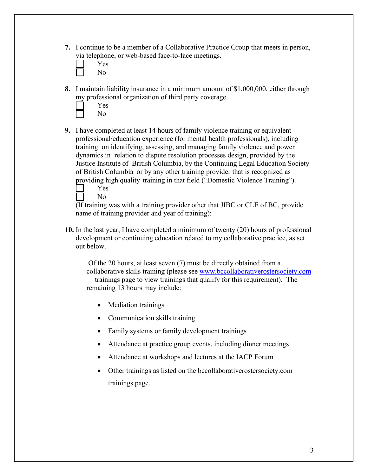- **7.** I continue to be a member of a Collaborative Practice Group that meets in person, via telephone, or web-based face-to-face meetings.
	- Yes No
- **8.** I maintain liability insurance in a minimum amount of \$1,000,000, either through my professional organization of third party coverage.
	- Yes No
- **9.** I have completed at least 14 hours of family violence training or equivalent professional/education experience (for mental health professionals), including training on identifying, assessing, and managing family violence and power dynamics in relation to dispute resolution processes design, provided by the Justice Institute of British Columbia, by the Continuing Legal Education Society of British Columbia or by any other training provider that is recognized as providing high quality training in that field ("Domestic Violence Training").

| Y<br>es |
|---------|
| NΩ      |

(If training was with a training provider other that JIBC or CLE of BC, provide name of training provider and year of training):

**10.** In the last year, I have completed a minimum of twenty (20) hours of professional development or continuing education related to my collaborative practice, as set out below.

Of the 20 hours, at least seven (7) must be directly obtained from a collaborative skills training (please see [www.bccollaborativerostersociety.com](http://www.bccollaborativerostersociety.com/) – trainings page to view trainings that qualify for this requirement). The remaining 13 hours may include:

- Mediation trainings
- Communication skills training
- Family systems or family development trainings
- Attendance at practice group events, including dinner meetings
- Attendance at workshops and lectures at the IACP Forum
- Other trainings as listed on the bccollaborativerostersociety.com trainings page.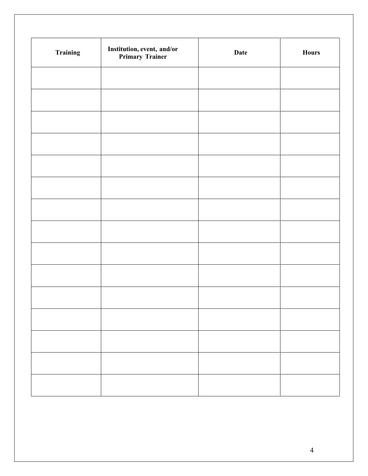| <b>Training</b> | <b>Institution, event, and/or<br/>Primary Trainer</b> | Date | <b>Hours</b> |
|-----------------|-------------------------------------------------------|------|--------------|
|                 |                                                       |      |              |
|                 |                                                       |      |              |
|                 |                                                       |      |              |
|                 |                                                       |      |              |
|                 |                                                       |      |              |
|                 |                                                       |      |              |
|                 |                                                       |      |              |
|                 |                                                       |      |              |
|                 |                                                       |      |              |
|                 |                                                       |      |              |
|                 |                                                       |      |              |
|                 |                                                       |      |              |
|                 |                                                       |      |              |
|                 |                                                       |      |              |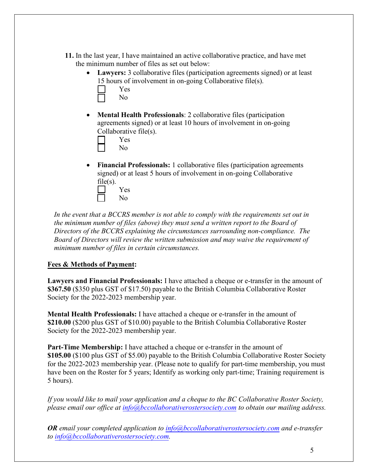- **11.** In the last year, I have maintained an active collaborative practice, and have met the minimum number of files as set out below:
	- **Lawyers:** 3 collaborative files (participation agreements signed) or at least 15 hours of involvement in on-going Collaborative file(s).

| .              |
|----------------|
| Yes            |
| N <sub>O</sub> |

• **Mental Health Professionals**: 2 collaborative files (participation agreements signed) or at least 10 hours of involvement in on-going Collaborative file(s).

Yes

- No
- **Financial Professionals:** 1 collaborative files (participation agreements signed) or at least 5 hours of involvement in on-going Collaborative  $file(s)$ .

|  | Yes |
|--|-----|
|  | ง∩  |

*In the event that a BCCRS member is not able to comply with the requirements set out in the minimum number of files (above) they must send a written report to the Board of Directors of the BCCRS explaining the circumstances surrounding non-compliance. The Board of Directors will review the written submission and may waive the requirement of minimum number of files in certain circumstances.*

# **Fees & Methods of Payment:**

**Lawyers and Financial Professionals:** I have attached a cheque or e-transfer in the amount of **\$367.50** (\$350 plus GST of \$17.50) payable to the British Columbia Collaborative Roster Society for the 2022-2023 membership year.

**Mental Health Professionals:** I have attached a cheque or e-transfer in the amount of **\$210.00** (\$200 plus GST of \$10.00) payable to the British Columbia Collaborative Roster Society for the 2022-2023 membership year.

**Part-Time Membership:** I have attached a cheque or e-transfer in the amount of **\$105.00** (\$100 plus GST of \$5.00) payable to the British Columbia Collaborative Roster Society for the 2022-2023 membership year. (Please note to qualify for part-time membership, you must have been on the Roster for 5 years; Identify as working only part-time; Training requirement is 5 hours).

*If you would like to mail your application and a cheque to the BC Collaborative Roster Society, please email our office at [info@bccollaborativerostersociety.com](mailto:info@bccollaborativerostersociety.com) to obtain our mailing address.* 

*OR email your completed application to [info@bccollaborativerostersociety.com](mailto:info@bccollaborativerostersociety.com) and e-transfer to [info@bccollaborativerostersociety.com.](mailto:info@bccollaborativerostersociety.com)*